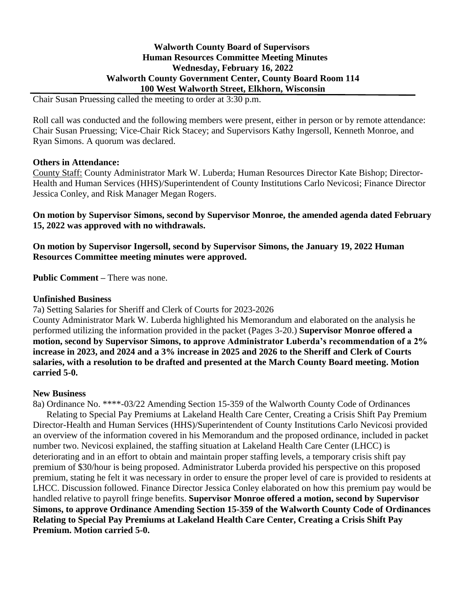### **Walworth County Board of Supervisors Human Resources Committee Meeting Minutes Wednesday, February 16, 2022 Walworth County Government Center, County Board Room 114 100 West Walworth Street, Elkhorn, Wisconsin**

Chair Susan Pruessing called the meeting to order at 3:30 p.m.

Roll call was conducted and the following members were present, either in person or by remote attendance: Chair Susan Pruessing; Vice-Chair Rick Stacey; and Supervisors Kathy Ingersoll, Kenneth Monroe, and Ryan Simons. A quorum was declared.

#### **Others in Attendance:**

County Staff: County Administrator Mark W. Luberda; Human Resources Director Kate Bishop; Director-Health and Human Services (HHS)/Superintendent of County Institutions Carlo Nevicosi; Finance Director Jessica Conley, and Risk Manager Megan Rogers.

**On motion by Supervisor Simons, second by Supervisor Monroe, the amended agenda dated February 15, 2022 was approved with no withdrawals.**

**On motion by Supervisor Ingersoll, second by Supervisor Simons, the January 19, 2022 Human Resources Committee meeting minutes were approved.**

**Public Comment –** There was none.

#### **Unfinished Business**

7a) Setting Salaries for Sheriff and Clerk of Courts for 2023-2026

County Administrator Mark W. Luberda highlighted his Memorandum and elaborated on the analysis he performed utilizing the information provided in the packet (Pages 3-20.) **Supervisor Monroe offered a motion, second by Supervisor Simons, to approve Administrator Luberda's recommendation of a 2% increase in 2023, and 2024 and a 3% increase in 2025 and 2026 to the Sheriff and Clerk of Courts salaries, with a resolution to be drafted and presented at the March County Board meeting. Motion carried 5-0.**

## **New Business**

8a) Ordinance No. \*\*\*\*-03/22 Amending Section 15-359 of the Walworth County Code of Ordinances Relating to Special Pay Premiums at Lakeland Health Care Center, Creating a Crisis Shift Pay Premium Director-Health and Human Services (HHS)/Superintendent of County Institutions Carlo Nevicosi provided an overview of the information covered in his Memorandum and the proposed ordinance, included in packet number two. Nevicosi explained, the staffing situation at Lakeland Health Care Center (LHCC) is deteriorating and in an effort to obtain and maintain proper staffing levels, a temporary crisis shift pay premium of \$30/hour is being proposed. Administrator Luberda provided his perspective on this proposed premium, stating he felt it was necessary in order to ensure the proper level of care is provided to residents at LHCC. Discussion followed. Finance Director Jessica Conley elaborated on how this premium pay would be handled relative to payroll fringe benefits. **Supervisor Monroe offered a motion, second by Supervisor Simons, to approve Ordinance Amending Section 15-359 of the Walworth County Code of Ordinances Relating to Special Pay Premiums at Lakeland Health Care Center, Creating a Crisis Shift Pay Premium. Motion carried 5-0.**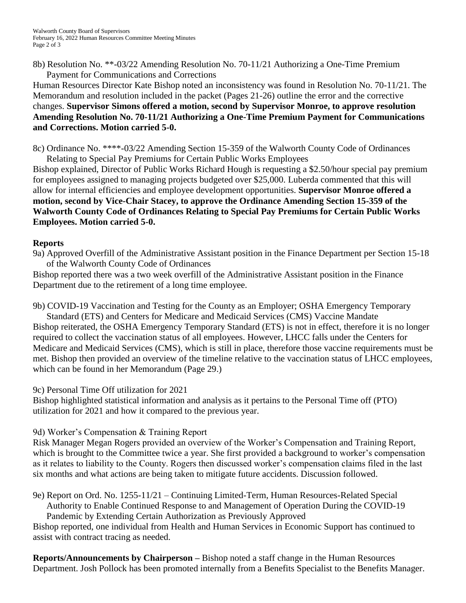8b) Resolution No. \*\*-03/22 Amending Resolution No. 70-11/21 Authorizing a One-Time Premium Payment for Communications and Corrections

Human Resources Director Kate Bishop noted an inconsistency was found in Resolution No. 70-11/21. The Memorandum and resolution included in the packet (Pages 21-26) outline the error and the corrective changes. **Supervisor Simons offered a motion, second by Supervisor Monroe, to approve resolution Amending Resolution No. 70-11/21 Authorizing a One-Time Premium Payment for Communications and Corrections. Motion carried 5-0.**

8c) Ordinance No. \*\*\*\*-03/22 Amending Section 15-359 of the Walworth County Code of Ordinances Relating to Special Pay Premiums for Certain Public Works Employees

Bishop explained, Director of Public Works Richard Hough is requesting a \$2.50/hour special pay premium for employees assigned to managing projects budgeted over \$25,000. Luberda commented that this will allow for internal efficiencies and employee development opportunities. **Supervisor Monroe offered a motion, second by Vice-Chair Stacey, to approve the Ordinance Amending Section 15-359 of the Walworth County Code of Ordinances Relating to Special Pay Premiums for Certain Public Works Employees. Motion carried 5-0.**

## **Reports**

9a) Approved Overfill of the Administrative Assistant position in the Finance Department per Section 15-18 of the Walworth County Code of Ordinances

Bishop reported there was a two week overfill of the Administrative Assistant position in the Finance Department due to the retirement of a long time employee.

9b) COVID-19 Vaccination and Testing for the County as an Employer; OSHA Emergency Temporary Standard (ETS) and Centers for Medicare and Medicaid Services (CMS) Vaccine Mandate Bishop reiterated, the OSHA Emergency Temporary Standard (ETS) is not in effect, therefore it is no longer required to collect the vaccination status of all employees. However, LHCC falls under the Centers for Medicare and Medicaid Services (CMS), which is still in place, therefore those vaccine requirements must be met. Bishop then provided an overview of the timeline relative to the vaccination status of LHCC employees, which can be found in her Memorandum (Page 29.)

## 9c) Personal Time Off utilization for 2021

Bishop highlighted statistical information and analysis as it pertains to the Personal Time off (PTO) utilization for 2021 and how it compared to the previous year.

# 9d) Worker's Compensation & Training Report

Risk Manager Megan Rogers provided an overview of the Worker's Compensation and Training Report, which is brought to the Committee twice a year. She first provided a background to worker's compensation as it relates to liability to the County. Rogers then discussed worker's compensation claims filed in the last six months and what actions are being taken to mitigate future accidents. Discussion followed.

9e) Report on Ord. No. 1255-11/21 – Continuing Limited-Term, Human Resources-Related Special Authority to Enable Continued Response to and Management of Operation During the COVID-19 Pandemic by Extending Certain Authorization as Previously Approved

Bishop reported, one individual from Health and Human Services in Economic Support has continued to assist with contract tracing as needed.

**Reports/Announcements by Chairperson –** Bishop noted a staff change in the Human Resources Department. Josh Pollock has been promoted internally from a Benefits Specialist to the Benefits Manager.